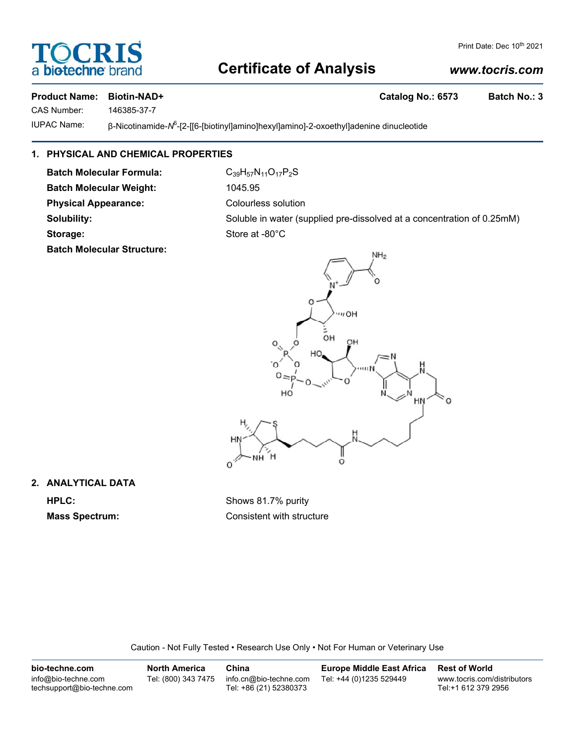## biotechr

#### Print Date: Dec 10<sup>th</sup> 2021

### **Certificate of Analysis**

#### *www.tocris.com*

#### **Product Name: Biotin-NAD+ Catalog No.: 6573 Batch No.: 3**

CAS Number: 146385-37-7

IUPAC Name: β-Nicotinamide-N<sup>6</sup>-[2-[[6-[biotinyl]amino]hexyl]amino]-2-oxoethyl]adenine dinucleotide

#### **1. PHYSICAL AND CHEMICAL PROPERTIES**

**Batch Molecular Formula:** C<sub>39</sub>H<sub>57</sub>N<sub>11</sub>O<sub>17</sub>P<sub>2</sub>S Batch Molecular Weight: 1045.95

**Batch Molecular Structure:**

**Physical Appearance:** Colourless solution **Solubility:** Soluble in water (supplied pre-dissolved at a concentration of 0.25mM) Storage: Store at -80°C



**2. ANALYTICAL DATA**

**HPLC:** Shows 81.7% purity **Mass Spectrum:** Consistent with structure

Caution - Not Fully Tested • Research Use Only • Not For Human or Veterinary Use

| bio-techne.com                                    | <b>North America</b> | China                                            | <b>Europe Middle East Africa</b> | <b>Rest of World</b>                               |
|---------------------------------------------------|----------------------|--------------------------------------------------|----------------------------------|----------------------------------------------------|
| info@bio-techne.com<br>techsupport@bio-techne.com | Tel: (800) 343 7475  | info.cn@bio-techne.com<br>Tel: +86 (21) 52380373 | Tel: +44 (0)1235 529449          | www.tocris.com/distributors<br>Tel:+1 612 379 2956 |